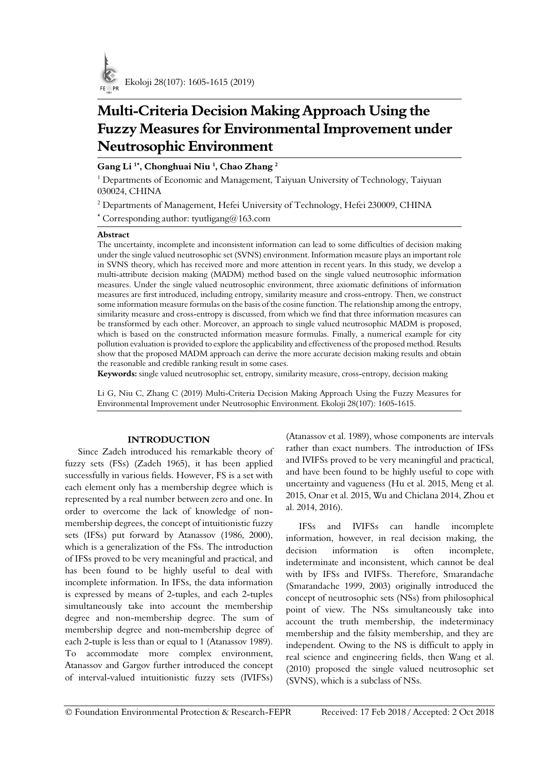

# **Multi-Criteria Decision Making Approach Using the Fuzzy Measures for Environmental Improvement under Neutrosophic Environment**

# **Gang Li 1\* , Chonghuai Niu <sup>1</sup> , Chao Zhang <sup>2</sup>**

 $^1$  Departments of Economic and Management, Taiyuan University of Technology, Taiyuan 030024, CHINA

<sup>2</sup> Departments of Management, Hefei University of Technology, Hefei 230009, CHINA

\* Corresponding author: tyutligang@163.com

# **Abstract**

The uncertainty, incomplete and inconsistent information can lead to some difficulties of decision making under the single valued neutrosophic set (SVNS) environment. Information measure plays an important role in SVNS theory, which has received more and more attention in recent years. In this study, we develop a multi-attribute decision making (MADM) method based on the single valued neutrosophic information measures. Under the single valued neutrosophic environment, three axiomatic definitions of information measures are first introduced, including entropy, similarity measure and cross-entropy. Then, we construct some information measure formulas on the basis of the cosine function. The relationship among the entropy, similarity measure and cross-entropy is discussed, from which we find that three information measures can be transformed by each other. Moreover, an approach to single valued neutrosophic MADM is proposed, which is based on the constructed information measure formulas. Finally, a numerical example for city pollution evaluation is provided to explore the applicability and effectiveness of the proposed method. Results show that the proposed MADM approach can derive the more accurate decision making results and obtain the reasonable and credible ranking result in some cases.

**Keywords:** single valued neutrosophic set, entropy, similarity measure, cross-entropy, decision making

Li G, Niu C, Zhang C (2019) Multi-Criteria Decision Making Approach Using the Fuzzy Measures for Environmental Improvement under Neutrosophic Environment. Ekoloji 28(107): 1605-1615.

# **INTRODUCTION**

Since Zadeh introduced his remarkable theory of fuzzy sets (FSs) (Zadeh 1965), it has been applied successfully in various fields. However, FS is a set with each element only has a membership degree which is represented by a real number between zero and one. In order to overcome the lack of knowledge of nonmembership degrees, the concept of intuitionistic fuzzy sets (IFSs) put forward by Atanassov (1986, 2000), which is a generalization of the FSs. The introduction of IFSs proved to be very meaningful and practical, and has been found to be highly useful to deal with incomplete information. In IFSs, the data information is expressed by means of 2-tuples, and each 2-tuples simultaneously take into account the membership degree and non-membership degree. The sum of membership degree and non-membership degree of each 2-tuple is less than or equal to 1 (Atanassov 1989). To accommodate more complex environment, Atanassov and Gargov further introduced the concept of interval-valued intuitionistic fuzzy sets (IVIFSs)

(Atanassov et al. 1989), whose components are intervals rather than exact numbers. The introduction of IFSs and IVIFSs proved to be very meaningful and practical, and have been found to be highly useful to cope with uncertainty and vagueness (Hu et al. 2015, Meng et al. 2015, Onar et al. 2015, Wu and Chiclana 2014, Zhou et al. 2014, 2016).

IFSs and IVIFSs can handle incomplete information, however, in real decision making, the decision information is often incomplete, indeterminate and inconsistent, which cannot be deal with by IFSs and IVIFSs. Therefore, Smarandache (Smarandache 1999, 2003) originally introduced the concept of neutrosophic sets (NSs) from philosophical point of view. The NSs simultaneously take into account the truth membership, the indeterminacy membership and the falsity membership, and they are independent. Owing to the NS is difficult to apply in real science and engineering fields, then Wang et al. (2010) proposed the single valued neutrosophic set (SVNS), which is a subclass of NSs.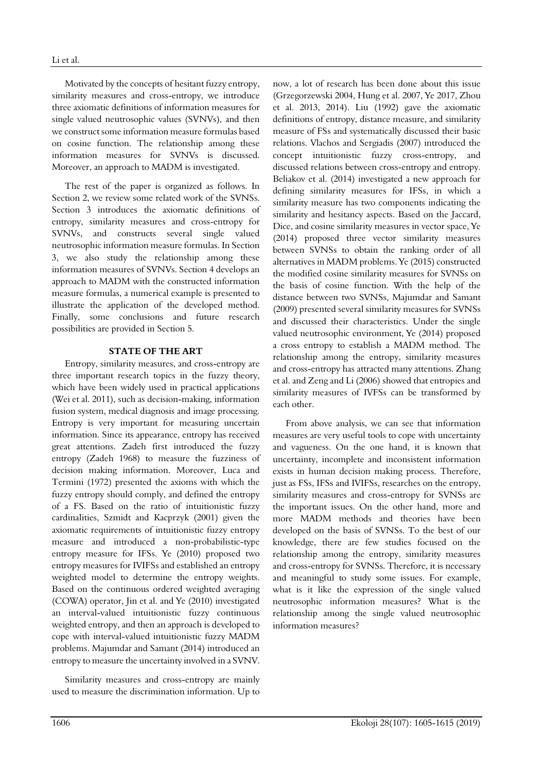Motivated by the concepts of hesitant fuzzy entropy, similarity measures and cross-entropy, we introduce three axiomatic definitions of information measures for single valued neutrosophic values (SVNVs), and then we construct some information measure formulas based on cosine function. The relationship among these information measures for SVNVs is discussed. Moreover, an approach to MADM is investigated.

The rest of the paper is organized as follows. In Section 2, we review some related work of the SVNSs. Section 3 introduces the axiomatic definitions of entropy, similarity measures and cross-entropy for SVNVs, and constructs several single valued neutrosophic information measure formulas. In Section 3, we also study the relationship among these information measures of SVNVs. Section 4 develops an approach to MADM with the constructed information measure formulas, a numerical example is presented to illustrate the application of the developed method. Finally, some conclusions and future research possibilities are provided in Section 5.

# **STATE OF THE ART**

Entropy, similarity measures, and cross-entropy are three important research topics in the fuzzy theory, which have been widely used in practical applications (Wei et al. 2011), such as decision-making, information fusion system, medical diagnosis and image processing. Entropy is very important for measuring uncertain information. Since its appearance, entropy has received great attentions. Zadeh first introduced the fuzzy entropy (Zadeh 1968) to measure the fuzziness of decision making information. Moreover, Luca and Termini (1972) presented the axioms with which the fuzzy entropy should comply, and defined the entropy of a FS. Based on the ratio of intuitionistic fuzzy cardinalities, Szmidt and Kacprzyk (2001) given the axiomatic requirements of intuitionistic fuzzy entropy measure and introduced a non-probabilistic-type entropy measure for IFSs. Ye (2010) proposed two entropy measures for IVIFSs and established an entropy weighted model to determine the entropy weights. Based on the continuous ordered weighted averaging (COWA) operator, Jin et al. and Ye (2010) investigated an interval-valued intuitionistic fuzzy continuous weighted entropy, and then an approach is developed to cope with interval-valued intuitionistic fuzzy MADM problems. Majumdar and Samant (2014) introduced an entropy to measure the uncertainty involved in a SVNV.

Similarity measures and cross-entropy are mainly used to measure the discrimination information. Up to

now, a lot of research has been done about this issue (Grzegorzewski 2004, Hung et al. 2007, Ye 2017, Zhou et al. 2013, 2014). Liu (1992) gave the axiomatic definitions of entropy, distance measure, and similarity measure of FSs and systematically discussed their basic relations. Vlachos and Sergiadis (2007) introduced the concept intuitionistic fuzzy cross-entropy, and discussed relations between cross-entropy and entropy. Beliakov et al. (2014) investigated a new approach for defining similarity measures for IFSs, in which a similarity measure has two components indicating the similarity and hesitancy aspects. Based on the Jaccard, Dice, and cosine similarity measures in vector space, Ye (2014) proposed three vector similarity measures between SVNSs to obtain the ranking order of all alternatives in MADM problems. Ye (2015) constructed the modified cosine similarity measures for SVNSs on the basis of cosine function. With the help of the distance between two SVNSs, Majumdar and Samant (2009) presented several similarity measures for SVNSs and discussed their characteristics. Under the single valued neutrosophic environment, Ye (2014) proposed a cross entropy to establish a MADM method. The relationship among the entropy, similarity measures and cross-entropy has attracted many attentions. Zhang et al. and Zeng and Li (2006) showed that entropies and similarity measures of IVFSs can be transformed by each other.

From above analysis, we can see that information measures are very useful tools to cope with uncertainty and vagueness. On the one hand, it is known that uncertainty, incomplete and inconsistent information exists in human decision making process. Therefore, just as FSs, IFSs and IVIFSs, researches on the entropy, similarity measures and cross-entropy for SVNSs are the important issues. On the other hand, more and more MADM methods and theories have been developed on the basis of SVNSs. To the best of our knowledge, there are few studies focused on the relationship among the entropy, similarity measures and cross-entropy for SVNSs. Therefore, it is necessary and meaningful to study some issues. For example, what is it like the expression of the single valued neutrosophic information measures? What is the relationship among the single valued neutrosophic information measures?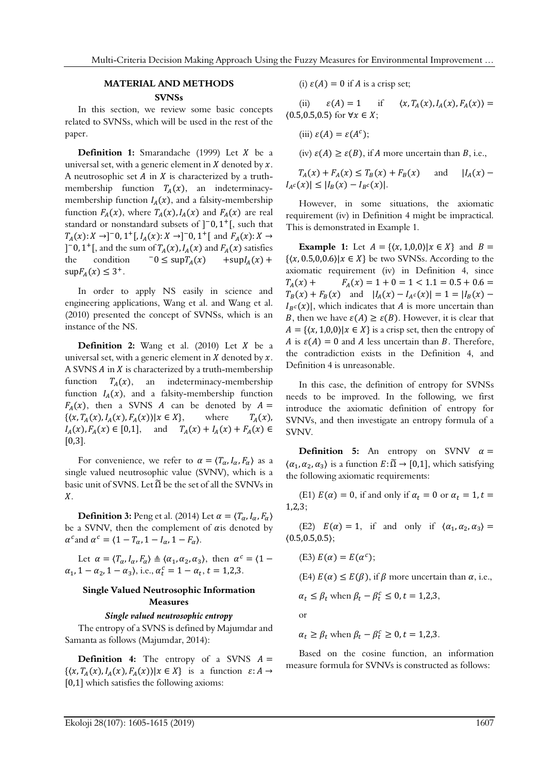#### **MATERIAL AND METHODS**

#### **SVNSs**

In this section, we review some basic concepts related to SVNSs, which will be used in the rest of the paper.

**Definition 1:** Smarandache (1999) Let *X* be a universal set, with a generic element in  $X$  denoted by  $x$ . A neutrosophic set  $A$  in  $X$  is characterized by a truthmembership function  $T_A(x)$ , an indeterminacymembership function  $I_A(x)$ , and a falsity-membership function  $F_A(x)$ , where  $T_A(x)$ ,  $I_A(x)$  and  $F_A(x)$  are real standard or nonstandard subsets of  $]$ <sup>-</sup>0,1<sup>+</sup>[, such that  $T_A(x): X \to ]-0, 1^+[, I_A(x): X \to ]-0, 1^+[$  and  $F_A(x): X \to ]$ ]<sup>-</sup>0, 1<sup>+</sup>[, and the sum of  $T_A(x)$ ,  $I_A(x)$  and  $F_A(x)$  satisfies the condition  $-0 \leq \sup T_A(x)$  +sup $I_A(x)$  +  $\sup F_A(x) \leq 3^+$ .

In order to apply NS easily in science and engineering applications, Wang et al. and Wang et al. (2010) presented the concept of SVNSs, which is an instance of the NS.

**Definition 2:** Wang et al.  $(2010)$  Let  $X$  be a universal set, with a generic element in  $X$  denoted by  $x$ . A SVNS  $A$  in  $X$  is characterized by a truth-membership function  $T_A(x)$ , an indeterminacy-membership function  $I_A(x)$ , and a falsity-membership function  $F_A(x)$ , then a SVNS *A* can be denoted by  $A = \{(x, T_A(x), I_A(x), F_A(x)) | x \in X\}$ , where  $T_A(x)$ ,  $\{\langle x, T_A(x), I_A(x), F_A(x)\rangle | x \in X\},\$  $I_A(x)$ ,  $F_A(x) \in [0,1]$ , and  $T_A(x) + I_A(x) + F_A(x) \in$  $[0,3]$ .

For convenience, we refer to  $\alpha = \langle T_{\alpha}, I_{\alpha}, F_{\alpha} \rangle$  as a single valued neutrosophic value (SVNV), which is a basic unit of SVNS. Let  $\tilde{\Omega}$  be the set of all the SVNVs in  $X$ .

**Definition 3:** Peng et al. (2014) Let  $\alpha = \langle T_{\alpha}, I_{\alpha}, F_{\alpha} \rangle$ be a SVNV, then the complement of  $\alpha$  is denoted by  $\alpha^c$  and  $\alpha^c = \langle 1 - T_\alpha, 1 - I_\alpha, 1 - F_\alpha \rangle$ .

Let  $\alpha = \langle T_{\alpha}, I_{\alpha}, F_{\alpha} \rangle \triangleq \langle \alpha_1, \alpha_2, \alpha_3 \rangle$ , then  $\alpha^c = \langle 1 \alpha_1$ , 1 –  $\alpha_2$ , 1 –  $\alpha_3$ ), i.e.,  $\alpha_t^c = 1 - \alpha_t$ , t = 1,2,3.

# **Single Valued Neutrosophic Information Measures**

### *Single valued neutrosophic entropy*

The entropy of a SVNS is defined by Majumdar and Samanta as follows (Majumdar, 2014):

**Definition 4:** The entropy of a SVNS  $A =$  $\{(x, T_A(x), I_A(x), F_A(x)) | x \in X\}$  is a function  $\varepsilon: A \to$ [0,1] which satisfies the following axioms:

(i)  $\varepsilon(A) = 0$  if A is a crisp set;

(ii)  $\varepsilon(A) = 1$  if  $\langle x, T_A(x), I_A(x), F_A(x) \rangle =$  $(0.5, 0.5, 0.5)$  for  $\forall x \in X;$ 

(iii)  $\varepsilon(A) = \varepsilon(A^c);$ 

(iv)  $\varepsilon(A) \ge \varepsilon(B)$ , if A more uncertain than B, i.e.,

 $T_A(x) + F_A(x) \le T_B(x) + F_B(x)$  and  $|I_A(x) |I_{A^c}(x)| \leq |I_{B}(x) - I_{B^c}(x)|.$ 

However, in some situations, the axiomatic requirement (iv) in Definition 4 might be impractical. This is demonstrated in Example 1.

**Example 1:** Let  $A = \{(x, 1, 0, 0) | x \in X\}$  and  $B =$  $\{(x, 0.5, 0.0.6)|x \in X\}$  be two SVNSs. According to the axiomatic requirement (iv) in Definition 4, since  $T_A(x)$  +  $F_A(x) = 1 + 0 = 1 < 1.1 = 0.5 + 0.6 =$  $T_B(x) + F_B(x)$  and  $|I_A(x) - I_{A^c}(x)| = 1 = |I_B(x) - I_{B^c}(x)|$  $I_{B}c(x)$ , which indicates that A is more uncertain than B, then we have  $\varepsilon(A) \ge \varepsilon(B)$ . However, it is clear that  $A = \{(x, 1, 0, 0) | x \in X\}$  is a crisp set, then the entropy of A is  $\varepsilon(A) = 0$  and A less uncertain than B. Therefore, the contradiction exists in the Definition 4, and Definition 4 is unreasonable.

In this case, the definition of entropy for SVNSs needs to be improved. In the following, we first introduce the axiomatic definition of entropy for SVNVs, and then investigate an entropy formula of a SVNV.

**Definition 5:** An entropy on SVNV  $\alpha$  =  $\langle \alpha_1, \alpha_2, \alpha_3 \rangle$  is a function  $E: \widetilde{\Omega} \to [0,1]$ , which satisfying the following axiomatic requirements:

(E1)  $E(\alpha) = 0$ , if and only if  $\alpha_t = 0$  or  $\alpha_t = 1$ ,  $t =$ 1,2,3;

(E2)  $E(\alpha) = 1$ , if and only if  $\langle \alpha_1, \alpha_2, \alpha_3 \rangle =$  $(0.5, 0.5, 0.5);$ 

(E3)  $E(\alpha) = E(\alpha^c);$ 

(E4)  $E(\alpha) \leq E(\beta)$ , if  $\beta$  more uncertain than  $\alpha$ , i.e.,

$$
\alpha_t \le \beta_t \text{ when } \beta_t - \beta_t^c \le 0, t = 1,2,3,
$$

or

 $\alpha_t \ge \beta_t$  when  $\beta_t - \beta_t^c \ge 0$ ,  $t = 1,2,3$ .

Based on the cosine function, an information measure formula for SVNVs is constructed as follows: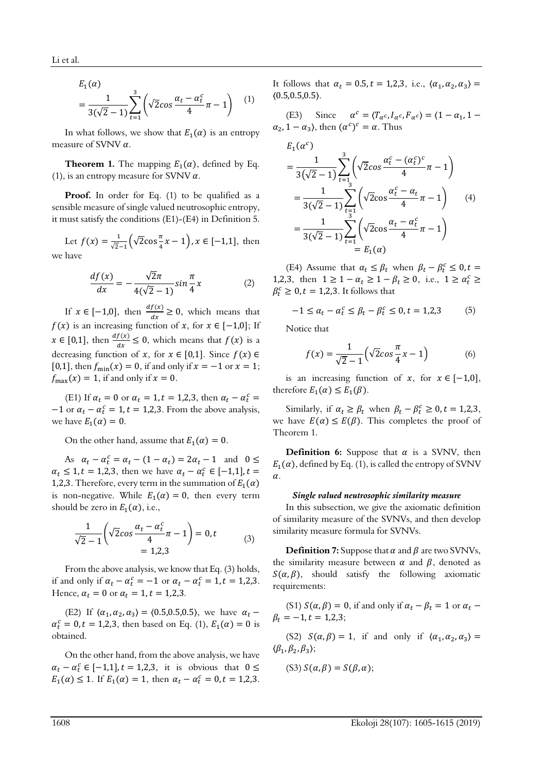$$
E_1(\alpha) = \frac{1}{3(\sqrt{2}-1)} \sum_{t=1}^{3} \left( \sqrt{2} \cos \frac{\alpha_t - \alpha_t^c}{4} \pi - 1 \right) \quad (1)
$$

In what follows, we show that  $E_1(\alpha)$  is an entropy measure of SVNV  $\alpha$ .

**Theorem 1.** The mapping  $E_1(\alpha)$ , defined by Eq. (1), is an entropy measure for SVNV  $\alpha$ .

Proof. In order for Eq. (1) to be qualified as a sensible measure of single valued neutrosophic entropy, it must satisfy the conditions (E1)-(E4) in Definition 5.

Let  $f(x) = \frac{1}{\sqrt{2}-1} \left( \sqrt{2} \cos{\frac{\pi}{4}} x - 1 \right), x \in [-1,1],$  then we have

$$
\frac{df(x)}{dx} = -\frac{\sqrt{2}\pi}{4(\sqrt{2}-1)}\sin\frac{\pi}{4}x\tag{2}
$$

If  $x \in [-1,0]$ , then  $\frac{df(x)}{dx} \ge 0$ , which means that  $f(x)$  is an increasing function of x, for  $x \in [-1,0]$ ; If  $x \in [0,1]$ , then  $\frac{df(x)}{dx} \le 0$ , which means that  $f(x)$  is a decreasing function of x, for  $x \in [0,1]$ . Since  $f(x) \in$ [0,1], then  $f_{\text{min}}(x) = 0$ , if and only if  $x = -1$  or  $x = 1$ ;  $f_{\text{max}}(x) = 1$ , if and only if  $x = 0$ .

(E1) If  $\alpha_t = 0$  or  $\alpha_t = 1$ ,  $t = 1,2,3$ , then  $\alpha_t - \alpha_t^c =$  $-1$  or  $\alpha_t - \alpha_t^c = 1$ ,  $t = 1,2,3$ . From the above analysis, we have  $E_1(\alpha) = 0$ .

On the other hand, assume that  $E_1(\alpha) = 0$ .

As  $\alpha_t - \alpha_t^c = \alpha_t - (1 - \alpha_t) = 2\alpha_t - 1$  and  $0 \le$  $\alpha_t \leq 1, t = 1,2,3$ , then we have  $\alpha_t - \alpha_t^c \in [-1,1], t =$ 1,2,3. Therefore, every term in the summation of  $E_1(\alpha)$ is non-negative. While  $E_1(\alpha) = 0$ , then every term should be zero in  $E_1(\alpha)$ , i.e.,

$$
\frac{1}{\sqrt{2}-1}\left(\sqrt{2}\cos\frac{\alpha_t-\alpha_t^c}{4}\pi-1\right)=0,t\tag{3}
$$
\n
$$
=1,2,3
$$

From the above analysis, we know that Eq. (3) holds, if and only if  $\alpha_t - \alpha_t^c = -1$  or  $\alpha_t - \alpha_t^c = 1$ ,  $t = 1,2,3$ . Hence,  $\alpha_t = 0$  or  $\alpha_t = 1, t = 1,2,3$ .

(E2) If  $\langle \alpha_1, \alpha_2, \alpha_3 \rangle = \langle 0.5, 0.5, 0.5 \rangle$ , we have  $\alpha_t$  –  $\alpha_t^c = 0, t = 1,2,3$ , then based on Eq. (1),  $E_1(\alpha) = 0$  is obtained.

On the other hand, from the above analysis, we have  $\alpha_t - \alpha_t^c \in [-1,1], t = 1,2,3$ , it is obvious that  $0 \le$  $E_1(\alpha) \le 1$ . If  $E_1(\alpha) = 1$ , then  $\alpha_t - \alpha_t^c = 0$ ,  $t = 1,2,3$ . It follows that  $\alpha_t = 0.5$ ,  $t = 1,2,3$ , i.e.,  $\langle \alpha_1, \alpha_2, \alpha_3 \rangle =$  $(0.5, 0.5, 0.5)$ .

(E3) Since  $\alpha^c = \langle T_{\alpha^c}, I_{\alpha^c}, F_{\alpha^c} \rangle = \langle 1 - \alpha_1, 1 - \alpha_2 \rangle$  $\alpha_2$ , 1 –  $\alpha_3$ ), then  $(\alpha^c)^c = \alpha$ . Thus

$$
E_1(\alpha^c)
$$
  
=  $\frac{1}{3(\sqrt{2}-1)} \sum_{t=1}^3 \left(\sqrt{2} \cos \frac{\alpha_t^c - (\alpha_t^c)^c}{4} \pi - 1\right)$   
=  $\frac{1}{3(\sqrt{2}-1)} \sum_{t=1}^3 \left(\sqrt{2} \cos \frac{\alpha_t^c - \alpha_t}{4} \pi - 1\right)$  (4)  
=  $\frac{1}{3(\sqrt{2}-1)} \sum_{t=1}^3 \left(\sqrt{2} \cos \frac{\alpha_t - \alpha_t^c}{4} \pi - 1\right)$   
=  $E_1(\alpha)$ 

(E4) Assume that  $\alpha_t \leq \beta_t$  when  $\beta_t - \beta_t^c \leq 0$ ,  $t =$ 1,2,3, then  $1 \ge 1 - \alpha_t \ge 1 - \beta_t \ge 0$ , i.e.,  $1 \ge \alpha_t^c$  ≥  $\beta_t^c \geq 0, t = 1,2,3.$  It follows that

$$
-1 \le \alpha_t - \alpha_t^c \le \beta_t - \beta_t^c \le 0, t = 1,2,3 \tag{5}
$$

Notice that

$$
f(x) = \frac{1}{\sqrt{2} - 1} \left( \sqrt{2} \cos \frac{\pi}{4} x - 1 \right)
$$
 (6)

is an increasing function of x, for  $x \in [-1,0]$ , therefore  $E_1(\alpha) \le E_1(\beta)$ .

Similarly, if  $\alpha_t \ge \beta_t$  when  $\beta_t - \beta_t^c \ge 0, t = 1,2,3,$ we have  $E(\alpha) \leq E(\beta)$ . This completes the proof of Theorem 1.

**Definition 6:** Suppose that  $\alpha$  is a SVNV, then  $E_1(\alpha)$ , defined by Eq. (1), is called the entropy of SVNV  $\alpha$ .

#### *Single valued neutrosophic similarity measure*

In this subsection, we give the axiomatic definition of similarity measure of the SVNVs, and then develop similarity measure formula for SVNVs.

**Definition 7:** Suppose that  $\alpha$  and  $\beta$  are two SVNVs, the similarity measure between  $\alpha$  and  $\beta$ , denoted as  $S(\alpha, \beta)$ , should satisfy the following axiomatic requirements:

(S1)  $S(\alpha, \beta) = 0$ , if and only if  $\alpha_t - \beta_t = 1$  or  $\alpha_t$  $\beta_t = -1, t = 1,2,3;$ 

(S2)  $S(\alpha, \beta) = 1$ , if and only if  $\langle \alpha_1, \alpha_2, \alpha_3 \rangle =$  $\langle \beta_1, \beta_2, \beta_3 \rangle$ ;

$$
(S3) S(\alpha, \beta) = S(\beta, \alpha);
$$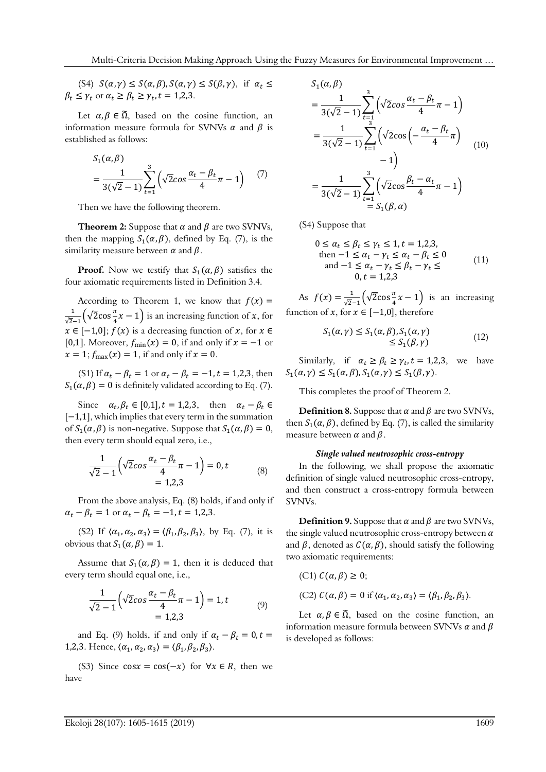(S4)  $S(\alpha, \gamma) \leq S(\alpha, \beta), S(\alpha, \gamma) \leq S(\beta, \gamma)$ , if  $\alpha_t \leq$  $\beta_t \leq \gamma_t$  or  $\alpha_t \geq \beta_t \geq \gamma_t$ ,  $t = 1,2,3$ .

Let  $\alpha, \beta \in \tilde{\Omega}$ , based on the cosine function, an information measure formula for SVNVs  $\alpha$  and  $\beta$  is established as follows:

$$
S_1(\alpha, \beta)
$$
  
=  $\frac{1}{3(\sqrt{2}-1)} \sum_{t=1}^{3} (\sqrt{2} \cos \frac{\alpha_t - \beta_t}{4} \pi - 1)$  (7)

Then we have the following theorem.

**Theorem 2:** Suppose that  $\alpha$  and  $\beta$  are two SVNVs, then the mapping  $S_1(\alpha, \beta)$ , defined by Eq. (7), is the similarity measure between  $\alpha$  and  $\beta$ .

**Proof.** Now we testify that  $S_1(\alpha, \beta)$  satisfies the four axiomatic requirements listed in Definition 3.4.

According to Theorem 1, we know that  $f(x) =$  $\frac{1}{\sqrt{2}-1}(\sqrt{2}\cos{\frac{\pi}{4}}x-1)$  is an increasing function of x, for  $x \in [-1,0]$ ;  $f(x)$  is a decreasing function of x, for  $x \in$ [0,1]. Moreover,  $f_{\text{min}}(x) = 0$ , if and only if  $x = -1$  or  $x = 1$ ;  $f_{\text{max}}(x) = 1$ , if and only if  $x = 0$ .

(S1) If  $\alpha_t - \beta_t = 1$  or  $\alpha_t - \beta_t = -1$ ,  $t = 1,2,3$ , then  $S_1(\alpha, \beta) = 0$  is definitely validated according to Eq. (7).

Since  $\alpha_t, \beta_t \in [0,1], t = 1,2,3$ , then  $\alpha_t - \beta_t \in$ [−1,1], which implies that every term in the summation of  $S_1(\alpha, \beta)$  is non-negative. Suppose that  $S_1(\alpha, \beta) = 0$ , then every term should equal zero, i.e.,

$$
\frac{1}{\sqrt{2}-1} \left( \sqrt{2} \cos \frac{\alpha_t - \beta_t}{4} \pi - 1 \right) = 0, t
$$
  
= 1,2,3 (8)

From the above analysis, Eq. (8) holds, if and only if  $\alpha_t - \beta_t = 1$  or  $\alpha_t - \beta_t = -1, t = 1,2,3$ .

(S2) If  $\langle \alpha_1, \alpha_2, \alpha_3 \rangle = \langle \beta_1, \beta_2, \beta_3 \rangle$ , by Eq. (7), it is obvious that  $S_1(\alpha, \beta) = 1$ .

Assume that  $S_1(\alpha, \beta) = 1$ , then it is deduced that every term should equal one, i.e.,

$$
\frac{1}{\sqrt{2}-1} \left( \sqrt{2} \cos \frac{\alpha_t - \beta_t}{4} \pi - 1 \right) = 1, t
$$
\n
$$
= 1, 2, 3
$$
\n(9)

and Eq. (9) holds, if and only if  $\alpha_t - \beta_t = 0$ ,  $t =$ 1,2,3. Hence,  $\langle \alpha_1, \alpha_2, \alpha_3 \rangle = \langle \beta_1, \beta_2, \beta_3 \rangle$ .

(S3) Since  $\cos x = \cos(-x)$  for  $\forall x \in R$ , then we have

$$
S_{1}(\alpha, \beta)
$$
\n
$$
= \frac{1}{3(\sqrt{2} - 1)} \sum_{t=1}^{3} (\sqrt{2} \cos \frac{\alpha_{t} - \beta_{t}}{4} \pi - 1)
$$
\n
$$
= \frac{1}{3(\sqrt{2} - 1)} \sum_{t=1}^{3} (\sqrt{2} \cos \left(-\frac{\alpha_{t} - \beta_{t}}{4} \pi\right) - 1)
$$
\n
$$
= \frac{1}{3(\sqrt{2} - 1)} \sum_{t=1}^{3} (\sqrt{2} \cos \frac{\beta_{t} - \alpha_{t}}{4} \pi - 1)
$$
\n
$$
= S_{1}(\beta, \alpha)
$$

(S4) Suppose that

$$
0 \leq \alpha_t \leq \beta_t \leq \gamma_t \leq 1, t = 1, 2, 3,
$$
  
then  $-1 \leq \alpha_t - \gamma_t \leq \alpha_t - \beta_t \leq 0$   
and  $-1 \leq \alpha_t - \gamma_t \leq \beta_t - \gamma_t \leq 0$  (11)  
 $0, t = 1, 2, 3$ 

As  $f(x) = \frac{1}{\sqrt{2}-1} \left(\sqrt{2}\cos{\frac{\pi}{4}}x - 1\right)$  is an increasing function of x, for  $x \in [-1,0]$ , therefore

$$
S_1(\alpha, \gamma) \le S_1(\alpha, \beta), S_1(\alpha, \gamma)
$$
  

$$
\le S_1(\beta, \gamma)
$$
 (12)

Similarly, if  $\alpha_t \ge \beta_t \ge \gamma_t$ ,  $t = 1,2,3$ , we have  $S_1(\alpha, \gamma) \leq S_1(\alpha, \beta), S_1(\alpha, \gamma) \leq S_1(\beta, \gamma).$ 

This completes the proof of Theorem 2.

**Definition 8.** Suppose that  $\alpha$  and  $\beta$  are two SVNVs, then  $S_1(\alpha, \beta)$ , defined by Eq. (7), is called the similarity measure between  $\alpha$  and  $\beta$ .

#### *Single valued neutrosophic cross-entropy*

In the following, we shall propose the axiomatic definition of single valued neutrosophic cross-entropy, and then construct a cross-entropy formula between SVNVs.

**Definition 9.** Suppose that  $\alpha$  and  $\beta$  are two SVNVs, the single valued neutrosophic cross-entropy between  $\alpha$ and  $\beta$ , denoted as  $C(\alpha, \beta)$ , should satisfy the following two axiomatic requirements:

(C1) 
$$
C(\alpha, \beta) \ge 0
$$
;  
(C2)  $C(\alpha, \beta) = 0$  if  $\langle \alpha_1, \alpha_2, \alpha_3 \rangle = \langle \beta_1, \beta_2, \beta_3 \rangle$ .

Let  $\alpha, \beta \in \tilde{\Omega}$ , based on the cosine function, an information measure formula between SVNVs  $\alpha$  and  $\beta$ is developed as follows: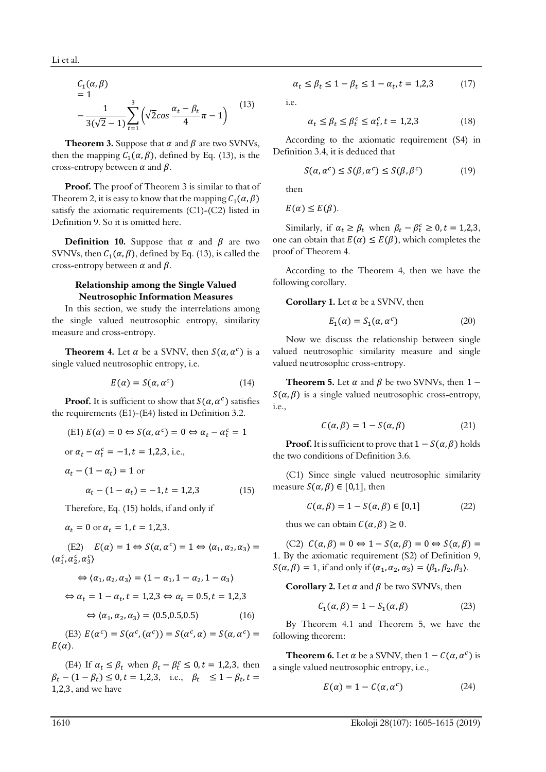$$
C_1(\alpha, \beta)
$$
  
= 1  

$$
-\frac{1}{3(\sqrt{2}-1)}\sum_{t=1}^3(\sqrt{2}\cos\frac{\alpha_t-\beta_t}{4}\pi-1)
$$
 (13)

**Theorem 3.** Suppose that  $\alpha$  and  $\beta$  are two SVNVs, then the mapping  $C_1(\alpha, \beta)$ , defined by Eq. (13), is the cross-entropy between  $\alpha$  and  $\beta$ .

**Proof.** The proof of Theorem 3 is similar to that of Theorem 2, it is easy to know that the mapping  $C_1(\alpha, \beta)$ satisfy the axiomatic requirements  $(C1)-(C2)$  listed in Definition 9. So it is omitted here.

**Definition 10.** Suppose that  $\alpha$  and  $\beta$  are two SVNVs, then  $C_1(\alpha, \beta)$ , defined by Eq. (13), is called the cross-entropy between  $\alpha$  and  $\beta$ .

# **Relationship among the Single Valued Neutrosophic Information Measures**

In this section, we study the interrelations among the single valued neutrosophic entropy, similarity measure and cross-entropy.

**Theorem 4.** Let  $\alpha$  be a SVNV, then  $S(\alpha, \alpha^c)$  is a single valued neutrosophic entropy, i.e.

$$
E(\alpha) = S(\alpha, \alpha^c) \tag{14}
$$

**Proof.** It is sufficient to show that  $S(\alpha, \alpha^c)$  satisfies the requirements (E1)-(E4) listed in Definition 3.2.

(E1) 
$$
E(\alpha) = 0 \Leftrightarrow S(\alpha, \alpha^c) = 0 \Leftrightarrow \alpha_t - \alpha_t^c = 1
$$

or  $\alpha_t - \alpha_t^c = -1$ ,  $t = 1,2,3$ , i.e.,

$$
\alpha_t - (1 - \alpha_t) = 1 \text{ or}
$$
  
\n
$$
\alpha_t - (1 - \alpha_t) = -1, t = 1, 2, 3
$$
 (15)

Therefore, Eq. (15) holds, if and only if

$$
\alpha_t = 0
$$
 or  $\alpha_t = 1, t = 1,2,3$ .

(E2)  $E(\alpha) = 1 \Leftrightarrow S(\alpha, \alpha^c) = 1 \Leftrightarrow \langle \alpha_1, \alpha_2, \alpha_3 \rangle =$  $\langle \alpha_1^c, \alpha_2^c, \alpha_3^c \rangle$ 

$$
\Leftrightarrow \langle \alpha_1, \alpha_2, \alpha_3 \rangle = \langle 1 - \alpha_1, 1 - \alpha_2, 1 - \alpha_3 \rangle
$$

$$
\Leftrightarrow \alpha_t = 1 - \alpha_t, t = 1,2,3 \Leftrightarrow \alpha_t = 0.5, t = 1,2,3
$$

$$
\Leftrightarrow \langle \alpha_1, \alpha_2, \alpha_3 \rangle = \langle 0.5, 0.5, 0.5 \rangle \tag{16}
$$

(E3)  $E(\alpha^c) = S(\alpha^c, (\alpha^c)) = S(\alpha^c, \alpha) = S(\alpha, \alpha^c) =$  $E(\alpha)$ .

(E4) If  $\alpha_t \leq \beta_t$  when  $\beta_t - \beta_t^c \leq 0, t = 1,2,3$ , then  $\beta_t - (1 - \beta_t) \leq 0, t = 1, 2, 3, \text{ i.e., } \beta_t \leq 1 - \beta_t, t =$ 1,2,3, and we have

$$
\alpha_t \le \beta_t \le 1 - \beta_t \le 1 - \alpha_t, t = 1,2,3 \tag{17}
$$

i.e.

$$
\alpha_t \le \beta_t \le \beta_t^c \le \alpha_t^c, t = 1, 2, 3 \tag{18}
$$

According to the axiomatic requirement (S4) in Definition 3.4, it is deduced that

$$
S(\alpha, \alpha^c) \le S(\beta, \alpha^c) \le S(\beta, \beta^c)
$$
 (19)

then

 $E(\alpha) \leq E(\beta)$ .

Similarly, if  $\alpha_t \ge \beta_t$  when  $\beta_t - \beta_t^c \ge 0, t = 1,2,3,$ one can obtain that  $E(\alpha) \leq E(\beta)$ , which completes the proof of Theorem 4.

According to the Theorem 4, then we have the following corollary.

**Corollary 1.** Let  $\alpha$  be a SVNV, then

$$
E_1(\alpha) = S_1(\alpha, \alpha^c) \tag{20}
$$

Now we discuss the relationship between single valued neutrosophic similarity measure and single valued neutrosophic cross-entropy.

**Theorem 5.** Let  $\alpha$  and  $\beta$  be two SVNVs, then 1 –  $S(\alpha, \beta)$  is a single valued neutrosophic cross-entropy, i.e.,

$$
C(\alpha, \beta) = 1 - S(\alpha, \beta) \tag{21}
$$

**Proof.** It is sufficient to prove that  $1 - S(\alpha, \beta)$  holds the two conditions of Definition 3.6.

(C1) Since single valued neutrosophic similarity measure  $S(\alpha, \beta) \in [0,1]$ , then

$$
C(\alpha, \beta) = 1 - S(\alpha, \beta) \in [0, 1]
$$
 (22)

thus we can obtain  $C(\alpha, \beta) \geq 0$ .

(C2)  $C(\alpha, \beta) = 0 \Leftrightarrow 1 - S(\alpha, \beta) = 0 \Leftrightarrow S(\alpha, \beta) = 0$ 1. By the axiomatic requirement (S2) of Definition 9,  $S(\alpha, \beta) = 1$ , if and only if  $\langle \alpha_1, \alpha_2, \alpha_3 \rangle = \langle \beta_1, \beta_2, \beta_3 \rangle$ .

**Corollary 2.** Let  $\alpha$  and  $\beta$  be two SVNVs, then

$$
C_1(\alpha, \beta) = 1 - S_1(\alpha, \beta) \tag{23}
$$

By Theorem 4.1 and Theorem 5, we have the following theorem:

**Theorem 6.** Let  $\alpha$  be a SVNV, then  $1 - C(\alpha, \alpha^c)$  is a single valued neutrosophic entropy, i.e.,

$$
E(\alpha) = 1 - C(\alpha, \alpha^c)
$$
 (24)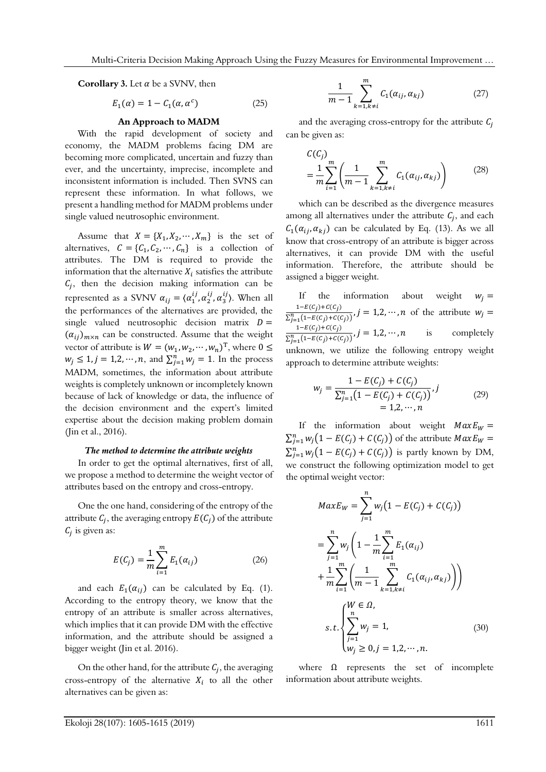**Corollary 3.** Let  $\alpha$  be a SVNV, then

$$
E_1(\alpha) = 1 - C_1(\alpha, \alpha^c) \tag{25}
$$

# **An Approach to MADM**

With the rapid development of society and economy, the MADM problems facing DM are becoming more complicated, uncertain and fuzzy than ever, and the uncertainty, imprecise, incomplete and inconsistent information is included. Then SVNS can represent these information. In what follows, we present a handling method for MADM problems under single valued neutrosophic environment.

Assume that  $X = \{X_1, X_2, \dots, X_m\}$  is the set of alternatives,  $C = \{C_1, C_2, \dots, C_n\}$  is a collection of attributes. The DM is required to provide the information that the alternative  $X_i$  satisfies the attribute  $C_i$ , then the decision making information can be represented as a SVNV  $\alpha_{ij} = \langle \alpha_1^{ij}, \alpha_2^{ij}, \alpha_3^{ij} \rangle$ . When all the performances of the alternatives are provided, the single valued neutrosophic decision matrix  $D =$  $(\alpha_{ij})_{m \times n}$  can be constructed. Assume that the weight vector of attribute is  $W = (w_1, w_2, \dots, w_n)^T$ , where  $0 \le$  $w_j \leq 1, j = 1, 2, \cdots, n$ , and  $\sum_{j=1}^{n} w_j = 1$ . In the process MADM, sometimes, the information about attribute weights is completely unknown or incompletely known because of lack of knowledge or data, the influence of the decision environment and the expert's limited expertise about the decision making problem domain (Jin et al., 2016).

#### *The method to determine the attribute weights*

In order to get the optimal alternatives, first of all, we propose a method to determine the weight vector of attributes based on the entropy and cross-entropy.

One the one hand, considering of the entropy of the attribute  $C_i$ , the averaging entropy  $E(C_i)$  of the attribute  $C_i$  is given as:

$$
E(C_j) = \frac{1}{m} \sum_{i=1}^{m} E_1(\alpha_{ij})
$$
 (26)

and each  $E_1(\alpha_{ii})$  can be calculated by Eq. (1). According to the entropy theory, we know that the entropy of an attribute is smaller across alternatives, which implies that it can provide DM with the effective information, and the attribute should be assigned a bigger weight (Jin et al. 2016).

On the other hand, for the attribute  $C_i$ , the averaging cross-entropy of the alternative  $X_i$  to all the other alternatives can be given as:

$$
\frac{1}{m-1}\sum_{k=1,k\neq i}^{m}C_{1}(\alpha_{ij},\alpha_{kj})\qquad \qquad (27)
$$

and the averaging cross-entropy for the attribute  $C_i$ can be given as:

$$
C(C_j) = \frac{1}{m} \sum_{i=1}^{m} \left( \frac{1}{m-1} \sum_{k=1, k \neq i}^{m} C_1(\alpha_{ij}, \alpha_{kj}) \right)
$$
(28)

which can be described as the divergence measures among all alternatives under the attribute  $C_i$ , and each  $C_1(\alpha_{ii}, \alpha_{ki})$  can be calculated by Eq. (13). As we all know that cross-entropy of an attribute is bigger across alternatives, it can provide DM with the useful information. Therefore, the attribute should be assigned a bigger weight.

If the information about weight  $w_i =$  $1-E(C_j)+C(C_j)$  $\frac{1}{\sum_{j=1}^{n} (1 - E(c_j) + C(c_j))}$ ,  $j = 1, 2, \dots, n$  of the attribute  $w_j =$  $1-E(C_j)+C(C_j)$  $\frac{1}{\sum_{j=1}^{n} (1 - E(c_j) + C(c_j))}, j = 1,2,\dots,n$  is completely unknown, we utilize the following entropy weight approach to determine attribute weights:

$$
w_j = \frac{1 - E(C_j) + C(C_j)}{\sum_{j=1}^{n} (1 - E(C_j) + C(C_j))}, j
$$
  
= 1,2,...,n (29)

If the information about weight  $MaxE_W =$  $\sum_{j=1}^n w_j (1 - E(C_j) + C(C_j))$  of the attribute  $MaxE_W =$  $\sum_{j=1}^{n} w_j (1 - E(C_j) + C(C_j))$  is partly known by DM, we construct the following optimization model to get the optimal weight vector:

$$
MaxE_{W} = \sum_{j=1}^{n} w_{j} (1 - E(C_{j}) + C(C_{j}))
$$
  
= 
$$
\sum_{j=1}^{n} w_{j} \left( 1 - \frac{1}{m} \sum_{i=1}^{m} E_{1}(\alpha_{ij}) + \frac{1}{m} \sum_{i=1}^{m} \left( \frac{1}{m-1} \sum_{k=1, k \neq i}^{m} C_{1}(\alpha_{ij}, \alpha_{kj}) \right) \right)
$$
  
s.t. 
$$
\begin{cases} W \in \Omega, \\ \sum_{j=1}^{n} w_{j} = 1, \\ w_{j} \ge 0, j = 1, 2, \dots, n. \end{cases}
$$
 (30)

where  $\Omega$  represents the set of incomplete information about attribute weights.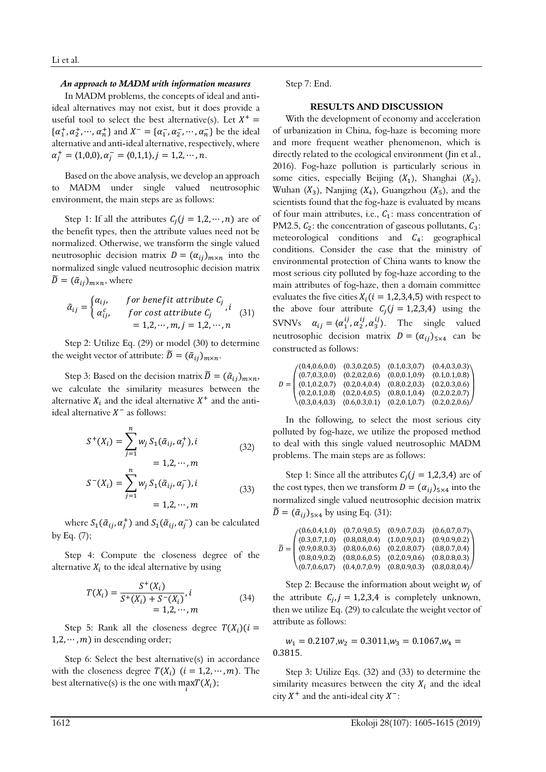## *An approach to MADM with information measures*

In MADM problems, the concepts of ideal and antiideal alternatives may not exist, but it does provide a useful tool to select the best alternative(s). Let  $X^+$  =  $\{\alpha_1^+, \alpha_2^+, \cdots, \alpha_n^+\}$  and  $X^- = \{\alpha_1^-, \alpha_2^-, \cdots, \alpha_n^-\}$  be the ideal alternative and anti-ideal alternative, respectively, where  $\alpha_j^+ = \langle 1, 0, 0 \rangle, \alpha_j^- = \langle 0, 1, 1 \rangle, j = 1, 2, \cdots, n.$ 

Based on the above analysis, we develop an approach to MADM under single valued neutrosophic environment, the main steps are as follows:

Step 1: If all the attributes  $C_i$   $(j = 1, 2, \cdots, n)$  are of the benefit types, then the attribute values need not be normalized. Otherwise, we transform the single valued neutrosophic decision matrix  $D = (\alpha_{ij})_{m \times n}$  into the normalized single valued neutrosophic decision matrix  $\widetilde{D} = (\widetilde{\alpha}_{ij})_{m \times n}$ , where

$$
\tilde{\alpha}_{ij} = \begin{cases}\n\alpha_{ij}, & \text{for benefit attribute } C_j \\
\alpha_{ij}^c, & \text{for cost attribute } C_j\n\end{cases}
$$
\n
$$
= 1, 2, \cdots, m, j = 1, 2, \cdots, n
$$
\n(31)

Step 2: Utilize Eq. (29) or model (30) to determine the weight vector of attribute:  $\tilde{D} = (\tilde{\alpha}_{ij})_{m \times n}$ .

Step 3: Based on the decision matrix  $\tilde{D} = (\tilde{\alpha}_{ij})_{m \times n}$ , we calculate the similarity measures between the alternative  $X_i$  and the ideal alternative  $X^+$  and the antiideal alternative  $X^-$  as follows:

$$
S^{+}(X_{i}) = \sum_{j=1}^{n} w_{j} S_{1}(\tilde{\alpha}_{ij}, \alpha_{j}^{+}), i
$$
  
= 1,2,...,m (32)

$$
S^{-}(X_{i}) = \sum_{j=1}^{n} w_{j} S_{1}(\tilde{\alpha}_{ij}, \alpha_{j}), i
$$
  
= 1,2, ..., m (33)

where  $S_1(\tilde{\alpha}_{ij}, \alpha_j^+)$  and  $S_1(\tilde{\alpha}_{ij}, \alpha_j^-)$  can be calculated by Eq. (7);

Step 4: Compute the closeness degree of the alternative  $X_i$  to the ideal alternative by using

$$
T(X_i) = \frac{S^+(X_i)}{S^+(X_i) + S^-(X_i)}, i
$$
  
= 1,2,...,m (34)

Step 5: Rank all the closeness degree  $T(X_i)(i =$  $1, 2, \cdots, m$ ) in descending order;

Step 6: Select the best alternative(s) in accordance with the closeness degree  $T(X_i)$   $(i = 1,2, \dots, m)$ . The best alternative(s) is the one with  $\max_i T(X_i)$ ;

Step 7: End.

# **RESULTS AND DISCUSSION**

With the development of economy and acceleration of urbanization in China, fog-haze is becoming more and more frequent weather phenomenon, which is directly related to the ecological environment (Jin et al., 2016). Fog-haze pollution is particularly serious in some cities, especially Beijing  $(X_1)$ , Shanghai  $(X_2)$ , Wuhan  $(X_3)$ , Nanjing  $(X_4)$ , Guangzhou  $(X_5)$ , and the scientists found that the fog-haze is evaluated by means of four main attributes, i.e.,  $C_1$ : mass concentration of PM2.5,  $C_2$ : the concentration of gaseous pollutants,  $C_3$ : meteorological conditions and  $C_4$ : geographical conditions. Consider the case that the ministry of environmental protection of China wants to know the most serious city polluted by fog-haze according to the main attributes of fog-haze, then a domain committee evaluates the five cities  $X_i (i = 1,2,3,4,5)$  with respect to the above four attribute  $C_i$  ( $j = 1,2,3,4$ ) using the SVNVs  $\alpha_{ij} = \langle \alpha_1^{ij}, \alpha_2^{ij}, \alpha_3^{ij} \rangle$ . The single valued neutrosophic decision matrix  $D = (\alpha_{ij})_{5 \times 4}$  can be constructed as follows:

|  |  | $D = \begin{pmatrix} (0.4, 0.6, 0.0) & (0.3, 0.2, 0.5) & (0.1, 0.3, 0.7) & (0.4, 0.3, 0.3) \\ (0.7, 0.3, 0.0) & (0.2, 0.2, 0.6) & (0.0, 0.1, 0.9) & (0.1, 0.1, 0.8) \\ (0.1, 0.2, 0.7) & (0.2, 0.4, 0.4) & (0.8, 0.2, 0.3) & (0.2, 0.3, 0.6) \\ (0.2, 0.1, 0.8) & (0.2$ |
|--|--|-------------------------------------------------------------------------------------------------------------------------------------------------------------------------------------------------------------------------------------------------------------------------|
|  |  |                                                                                                                                                                                                                                                                         |

In the following, to select the most serious city polluted by fog-haze, we utilize the proposed method to deal with this single valued neutrosophic MADM problems. The main steps are as follows:

Step 1: Since all the attributes  $C_i$  ( $j = 1,2,3,4$ ) are of the cost types, then we transform  $D = (\alpha_{ij})_{5\times4}$  into the normalized single valued neutrosophic decision matrix  $\widetilde{D} = (\widetilde{\alpha}_{ij})_{5 \times 4}$  by using Eq. (31):

$$
\widetilde{D} = \begin{pmatrix}\n(0.6, 0.4, 1.0) & (0.7, 0.9, 0.5) & (0.9, 0.7, 0.3) & (0.6, 0.7, 0.7) \\
(0.3, 0.7, 1.0) & (0.8, 0.8, 0.4) & (1.0, 0.9, 0.1) & (0.9, 0.9, 0.2) \\
(0.9, 0.8, 0.3) & (0.8, 0.6, 0.6) & (0.2, 0.8, 0.7) & (0.8, 0.7, 0.4) \\
(0.8, 0.9, 0.2) & (0.8, 0.6, 0.5) & (0.2, 0.9, 0.6) & (0.8, 0.8, 0.3) \\
(0.7, 0.6, 0.7) & (0.4, 0.7, 0.9) & (0.8, 0.9, 0.3) & (0.8, 0.8, 0.4)\n\end{pmatrix}
$$

Step 2: Because the information about weight  $w_i$  of the attribute  $C_{i,j} = 1,2,3,4$  is completely unknown, then we utilize Eq. (29) to calculate the weight vector of attribute as follows:

 $w_1 = 0.2107, w_2 = 0.3011, w_3 = 0.1067, w_4 =$ 0.3815.

Step 3: Utilize Eqs. (32) and (33) to determine the similarity measures between the city  $X_i$  and the ideal city  $X^+$  and the anti-ideal city  $X^-$ :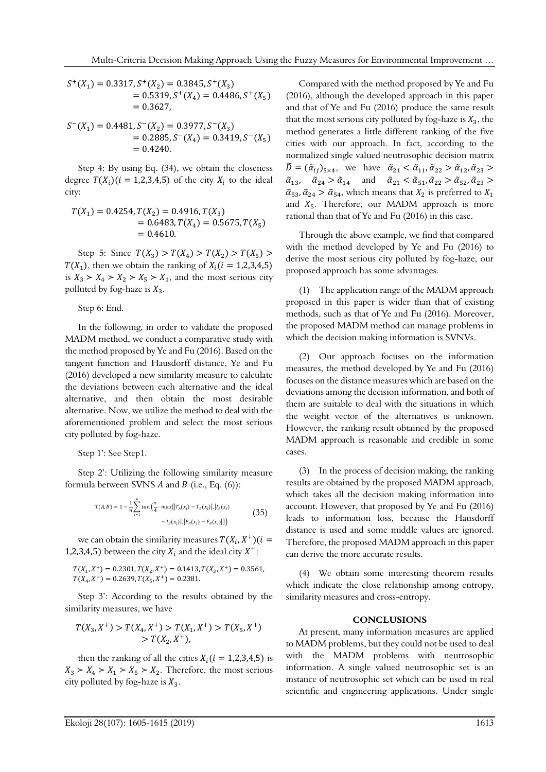$$
S^{+}(X_1) = 0.3317, S^{+}(X_2) = 0.3845, S^{+}(X_3)
$$
  
= 0.5319, S^{+}(X\_4) = 0.4486, S^{+}(X\_5)  
= 0.3627,

$$
S^{-}(X_1) = 0.4481, S^{-}(X_2) = 0.3977, S^{-}(X_3)
$$
  
= 0.2885, S^{-}(X\_4) = 0.3419, S^{-}(X\_5)  
= 0.4240.

Step 4: By using Eq. (34), we obtain the closeness degree  $T(X_i)(i = 1,2,3,4,5)$  of the city  $X_i$  to the ideal city:

$$
T(X_1) = 0.4254, T(X_2) = 0.4916, T(X_3)
$$
  
= 0.6483, T(X<sub>4</sub>) = 0.5675, T(X<sub>5</sub>)  
= 0.4610.

Step 5: Since  $T(X_3) > T(X_4) > T(X_2) > T(X_5)$  $T(X_1)$ , then we obtain the ranking of  $X_i$  ( $i = 1,2,3,4,5$ ) is  $X_3 > X_4 > X_2 > X_5 > X_1$ , and the most serious city polluted by fog-haze is  $X_3$ .

Step 6: End.

In the following, in order to validate the proposed MADM method, we conduct a comparative study with the method proposed by Ye and Fu (2016). Based on the tangent function and Hausdorff distance, Ye and Fu (2016) developed a new similarity measure to calculate the deviations between each alternative and the ideal alternative, and then obtain the most desirable alternative. Now, we utilize the method to deal with the aforementioned problem and select the most serious city polluted by fog-haze.

Step 1': See Step1.

Step 2': Utilizing the following similarity measure formula between SVNS  $A$  and  $B$  (i.e., Eq. (6)):

$$
T(A,B) = 1 - \frac{1}{n} \sum_{j=1}^{n} \tan\left(\frac{\pi}{4} \cdot \max\{|T_A(x_j) - T_B(x_j)|, |I_A(x_j) - I_B(x_j)|\}\right) - I_B(x_j)|, |F_A(x_j) - F_B(x_j)|\}\right)
$$
(35)

we can obtain the similarity measures  $T(X_i, X^+)(i =$ 1,2,3,4,5) between the city  $X_i$  and the ideal city  $X^+$ :

 $T(X_1, X^+) = 0.2301, T(X_2, X^+) = 0.1413, T(X_3, X^+) = 0.3561,$  $T(X_4, X^+) = 0.2639, T(X_5, X^+) = 0.2381.$ 

Step 3': According to the results obtained by the similarity measures, we have

$$
T(X_3, X^+) > T(X_4, X^+) > T(X_1, X^+) > T(X_5, X^+) > T(X_2, X^+),
$$

then the ranking of all the cities  $X_i (i = 1,2,3,4,5)$  is  $X_3 > X_4 > X_1 > X_5 > X_2$ . Therefore, the most serious city polluted by fog-haze is  $X_3$ .

Compared with the method proposed by Ye and Fu (2016), although the developed approach in this paper and that of Ye and Fu (2016) produce the same result that the most serious city polluted by fog-haze is  $X_3$ , the method generates a little different ranking of the five cities with our approach. In fact, according to the normalized single valued neutrosophic decision matrix  $\widetilde{D} = (\widetilde{\alpha}_{ij})_{5 \times 4}$ , we have  $\widetilde{\alpha}_{21} < \widetilde{\alpha}_{11}, \widetilde{\alpha}_{22} > \widetilde{\alpha}_{12}, \widetilde{\alpha}_{23} >$  $\tilde{\alpha}_{13}$ ,  $\tilde{\alpha}_{24} > \tilde{\alpha}_{14}$  and  $\tilde{\alpha}_{21} < \tilde{\alpha}_{51}$ ,  $\tilde{\alpha}_{22} > \tilde{\alpha}_{52}$ ,  $\tilde{\alpha}_{23} >$  $\tilde{\alpha}_{53}, \tilde{\alpha}_{24} > \tilde{\alpha}_{54}$ , which means that  $X_2$  is preferred to  $X_1$ and  $X_5$ . Therefore, our MADM approach is more rational than that of Ye and Fu (2016) in this case.

Through the above example, we find that compared with the method developed by Ye and Fu (2016) to derive the most serious city polluted by fog-haze, our proposed approach has some advantages.

(1) The application range of the MADM approach proposed in this paper is wider than that of existing methods, such as that of Ye and Fu (2016). Moreover, the proposed MADM method can manage problems in which the decision making information is SVNVs.

(2) Our approach focuses on the information measures, the method developed by Ye and Fu (2016) focuses on the distance measures which are based on the deviations among the decision information, and both of them are suitable to deal with the situations in which the weight vector of the alternatives is unknown. However, the ranking result obtained by the proposed MADM approach is reasonable and credible in some cases.

(3) In the process of decision making, the ranking results are obtained by the proposed MADM approach, which takes all the decision making information into account. However, that proposed by Ye and Fu (2016) leads to information loss, because the Hausdorff distance is used and some middle values are ignored. Therefore, the proposed MADM approach in this paper can derive the more accurate results.

(4) We obtain some interesting theorem results which indicate the close relationship among entropy, similarity measures and cross-entropy.

#### **CONCLUSIONS**

At present, many information measures are applied to MADM problems, but they could not be used to deal with the MADM problems with neutrosophic information. A single valued neutrosophic set is an instance of neutrosophic set which can be used in real scientific and engineering applications. Under single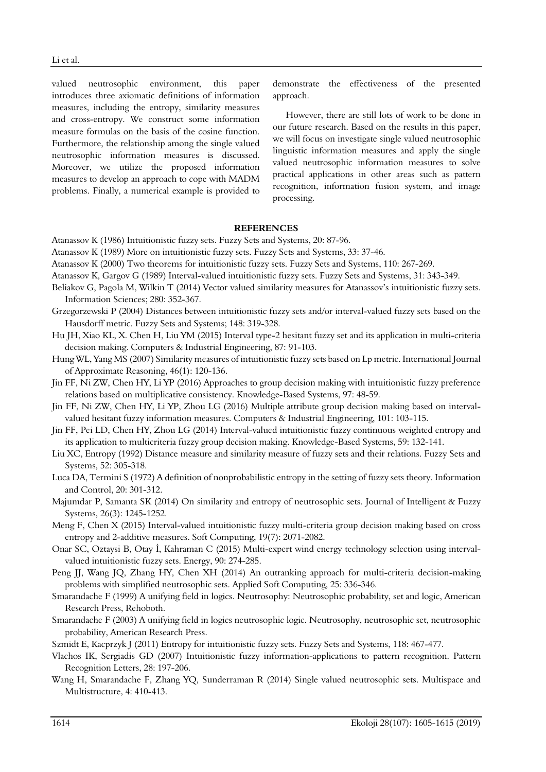valued neutrosophic environment, this paper introduces three axiomatic definitions of information measures, including the entropy, similarity measures and cross-entropy. We construct some information measure formulas on the basis of the cosine function. Furthermore, the relationship among the single valued neutrosophic information measures is discussed. Moreover, we utilize the proposed information measures to develop an approach to cope with MADM problems. Finally, a numerical example is provided to

demonstrate the effectiveness of the presented approach.

However, there are still lots of work to be done in our future research. Based on the results in this paper, we will focus on investigate single valued neutrosophic linguistic information measures and apply the single valued neutrosophic information measures to solve practical applications in other areas such as pattern recognition, information fusion system, and image processing.

#### **REFERENCES**

- Atanassov K (1986) Intuitionistic fuzzy sets. Fuzzy Sets and Systems, 20: 87-96.
- Atanassov K (1989) More on intuitionistic fuzzy sets. Fuzzy Sets and Systems, 33: 37-46.
- Atanassov K (2000) Two theorems for intuitionistic fuzzy sets. Fuzzy Sets and Systems, 110: 267-269.
- Atanassov K, Gargov G (1989) Interval-valued intuitionistic fuzzy sets. Fuzzy Sets and Systems, 31: 343-349.
- Beliakov G, Pagola M, Wilkin T (2014) Vector valued similarity measures for Atanassov's intuitionistic fuzzy sets. Information Sciences; 280: 352-367.
- Grzegorzewski P (2004) Distances between intuitionistic fuzzy sets and/or interval-valued fuzzy sets based on the Hausdorff metric. Fuzzy Sets and Systems; 148: 319-328.
- Hu JH, Xiao KL, X. Chen H, Liu YM (2015) Interval type-2 hesitant fuzzy set and its application in multi-criteria decision making. Computers & Industrial Engineering, 87: 91-103.
- Hung WL, Yang MS (2007) Similarity measures of intuitionistic fuzzy sets based on Lp metric. International Journal of Approximate Reasoning, 46(1): 120-136.
- Jin FF, Ni ZW, Chen HY, Li YP (2016) Approaches to group decision making with intuitionistic fuzzy preference relations based on multiplicative consistency. Knowledge-Based Systems, 97: 48-59.
- Jin FF, Ni ZW, Chen HY, Li YP, Zhou LG (2016) Multiple attribute group decision making based on intervalvalued hesitant fuzzy information measures. Computers & Industrial Engineering, 101: 103-115.
- Jin FF, Pei LD, Chen HY, Zhou LG (2014) Interval-valued intuitionistic fuzzy continuous weighted entropy and its application to multicriteria fuzzy group decision making. Knowledge-Based Systems, 59: 132-141.
- Liu XC, Entropy (1992) Distance measure and similarity measure of fuzzy sets and their relations. Fuzzy Sets and Systems, 52: 305-318.
- Luca DA, Termini S (1972) A definition of nonprobabilistic entropy in the setting of fuzzy sets theory. Information and Control, 20: 301-312.
- Majumdar P, Samanta SK (2014) On similarity and entropy of neutrosophic sets. Journal of Intelligent & Fuzzy Systems, 26(3): 1245-1252.
- Meng F, Chen X (2015) Interval-valued intuitionistic fuzzy multi-criteria group decision making based on cross entropy and 2-additive measures. Soft Computing, 19(7): 2071-2082.
- Onar SC, Oztaysi B, Otay İ, Kahraman C (2015) Multi-expert wind energy technology selection using intervalvalued intuitionistic fuzzy sets. Energy, 90: 274-285.
- Peng JJ, Wang JQ, Zhang HY, Chen XH (2014) An outranking approach for multi-criteria decision-making problems with simplified neutrosophic sets. Applied Soft Computing, 25: 336-346.
- Smarandache F (1999) A unifying field in logics. Neutrosophy: Neutrosophic probability, set and logic, American Research Press, Rehoboth.
- Smarandache F (2003) A unifying field in logics neutrosophic logic. Neutrosophy, neutrosophic set, neutrosophic probability, American Research Press.
- Szmidt E, Kacprzyk J (2011) Entropy for intuitionistic fuzzy sets. Fuzzy Sets and Systems, 118: 467-477.
- Vlachos IK, Sergiadis GD (2007) Intuitionistic fuzzy information-applications to pattern recognition. Pattern Recognition Letters, 28: 197-206.
- Wang H, Smarandache F, Zhang YQ, Sunderraman R (2014) Single valued neutrosophic sets. Multispace and Multistructure, 4: 410-413.